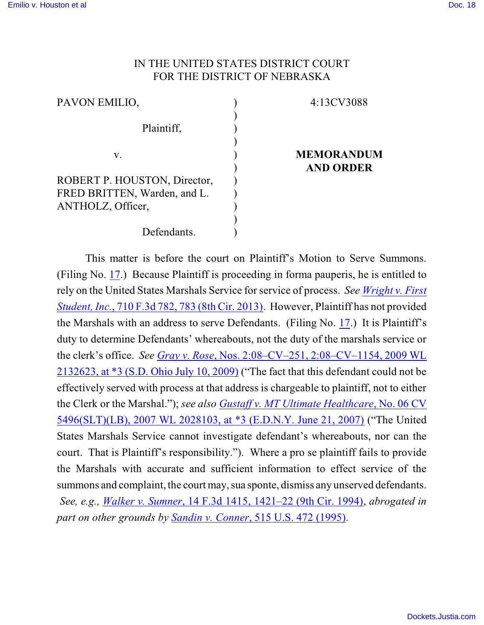## IN THE UNITED STATES DISTRICT COURT FOR THE DISTRICT OF NEBRASKA

| PAVON EMILIO,                | 4:13CV3088        |
|------------------------------|-------------------|
| Plaintiff,                   |                   |
| V.                           | <b>MEMORANDUM</b> |
|                              | <b>AND ORDER</b>  |
| ROBERT P. HOUSTON, Director, |                   |
| FRED BRITTEN, Warden, and L. |                   |
| ANTHOLZ, Officer,            |                   |
|                              |                   |
| Defendants.                  |                   |

This matter is before the court on Plaintiff's Motion to Serve Summons. (Filing No. [17](https://ecf.ned.uscourts.gov/doc1/11312909716).) Because Plaintiff is proceeding in forma pauperis, he is entitled to rely on the United States Marshals Service for service of process. *See Wright [v. First](https://web2.westlaw.com/find/default.wl?cite=710+F.3d+782&rs=WLW13.10&vr=2.0&rp=%2ffind%2fdefault.wl&sv=Split&fn=_top&mt=Westlaw) Student, Inc.*, 710 F.3d [782, 783 \(8th](https://web2.westlaw.com/find/default.wl?cite=710+F.3d+782&rs=WLW13.10&vr=2.0&rp=%2ffind%2fdefault.wl&sv=Split&fn=_top&mt=Westlaw) Cir. 2013). However, Plaintiff has not provided the Marshals with an address to serve Defendants. (Filing No. [17](https://ecf.ned.uscourts.gov/doc1/11312909716).) It is Plaintiff's duty to determine Defendants' whereabouts, not the duty of the marshals service or the clerk's office. *See Gray v. Rose*[, Nos. 2:08–CV–251, 2:08–CV–1154,](https://web2.westlaw.com/find/default.wl?cite=2009+WL+2132623+&rs=WLW13.10&vr=2.0&rp=%2ffind%2fdefault.wl&sv=Split&fn=_top&mt=Westlaw) 2009 WL 2132623, at \*3 [\(S.D. Ohio](https://web2.westlaw.com/find/default.wl?cite=2009+WL+2132623+&rs=WLW13.10&vr=2.0&rp=%2ffind%2fdefault.wl&sv=Split&fn=_top&mt=Westlaw) July 10, 2009) ("The fact that this defendant could not be effectively served with process at that address is chargeable to plaintiff, not to either the Clerk or the Marshal."); *see also Gustaff [v. MT Ultimate Healthcare](https://web2.westlaw.com/find/default.wl?cite=2007+WL+2028103&rs=WLW13.10&vr=2.0&rp=%2ffind%2fdefault.wl&sv=Split&fn=_top&mt=Westlaw)*, No. 06 CV 5496(SLT)(LB), 2007 WL 2028103, at \*3 [\(E.D.N.Y. June 21, 2007\)](https://web2.westlaw.com/find/default.wl?cite=2007+WL+2028103&rs=WLW13.10&vr=2.0&rp=%2ffind%2fdefault.wl&sv=Split&fn=_top&mt=Westlaw) ("The United States Marshals Service cannot investigate defendant's whereabouts, nor can the court. That is Plaintiff's responsibility."). Where a pro se plaintiff fails to provide the Marshals with accurate and sufficient information to effect service of the summons and complaint, the court may, sua sponte, dismiss any unserved defendants. *See, e.g., Walker v. Sumner*, 14 F.3d 1415, 1421–22 (9th [Cir. 1994\)](file:///|//https///web2.westlaw.com/find/default.wl?mt=Westlaw&db=506&tc=-1&rp=%2ffind%2fdefault.wl&findtype=Y&ordoc=2031320457&serialnum=1994035240&vr=2.0&fn=_top&sv=Split&tf=-1&referencepositiontype=S&pbc=06CDBBA1&referenceposition=1422&rs=WLW13.10&RLT=CLID_FQRLT57336), *abrogated in part on other grounds by Sandin v. Conner*[, 515 U.S. 472 \(1995\)](https://web2.westlaw.com/find/default.wl?cite=515+U.S.+472+&rs=WLW13.10&pbc=06CDBBA1&vr=2.0&rp=%2ffind%2fdefault.wl&sv=Split&fn=_top&mt=Westlaw).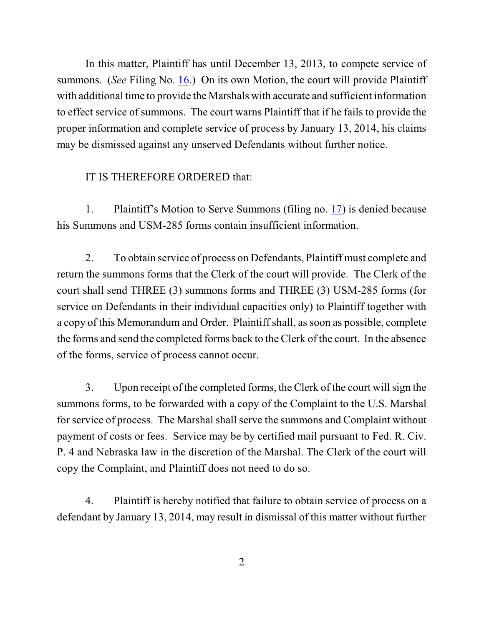In this matter, Plaintiff has until December 13, 2013, to compete service of summons. (*See* Filing No. [16](https://ecf.ned.uscourts.gov/doc1/11312846636).) On its own Motion, the court will provide Plaintiff with additional time to provide the Marshals with accurate and sufficient information to effect service of summons. The court warns Plaintiff that if he fails to provide the proper information and complete service of process by January 13, 2014, his claims may be dismissed against any unserved Defendants without further notice.

## IT IS THEREFORE ORDERED that:

1. Plaintiff's Motion to Serve Summons (filing no. [17](https://ecf.ned.uscourts.gov/doc1/11312909716)) is denied because his Summons and USM-285 forms contain insufficient information.

2. To obtain service of process on Defendants, Plaintiff must complete and return the summons forms that the Clerk of the court will provide. The Clerk of the court shall send THREE (3) summons forms and THREE (3) USM-285 forms (for service on Defendants in their individual capacities only) to Plaintiff together with a copy of this Memorandum and Order. Plaintiff shall, as soon as possible, complete the forms and send the completed forms back to the Clerk of the court. In the absence of the forms, service of process cannot occur.

3. Upon receipt of the completed forms, the Clerk of the court willsign the summons forms, to be forwarded with a copy of the Complaint to the U.S. Marshal for service of process. The Marshal shall serve the summons and Complaint without payment of costs or fees. Service may be by certified mail pursuant to Fed. R. Civ. P. 4 and Nebraska law in the discretion of the Marshal. The Clerk of the court will copy the Complaint, and Plaintiff does not need to do so.

4. Plaintiff is hereby notified that failure to obtain service of process on a defendant by January 13, 2014, may result in dismissal of this matter without further